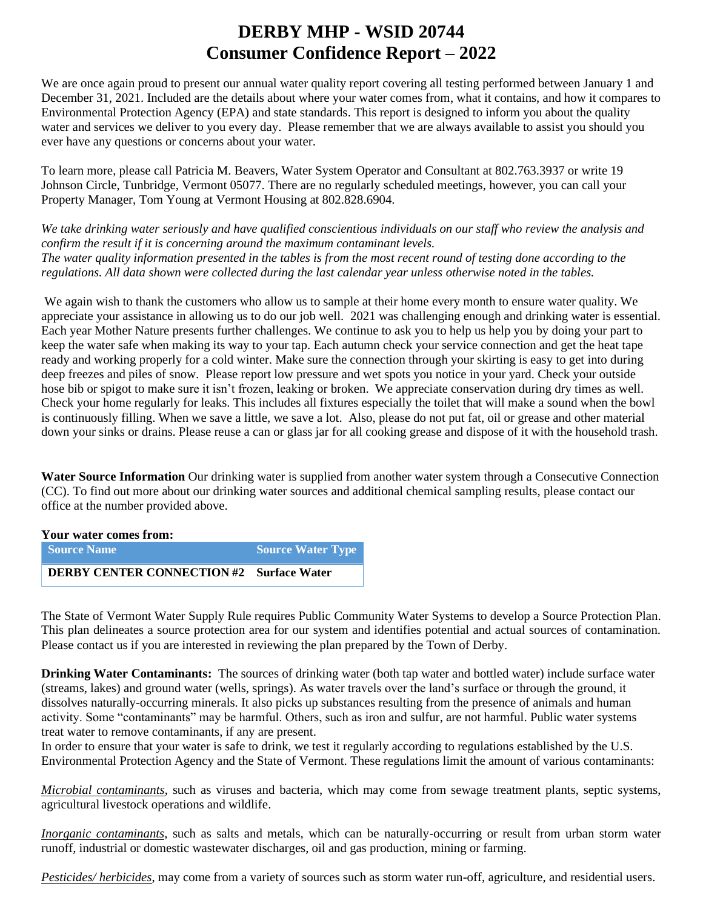# **DERBY MHP - WSID 20744 Consumer Confidence Report – 2022**

We are once again proud to present our annual water quality report covering all testing performed between January 1 and December 31, 2021. Included are the details about where your water comes from, what it contains, and how it compares to Environmental Protection Agency (EPA) and state standards. This report is designed to inform you about the quality water and services we deliver to you every day. Please remember that we are always available to assist you should you ever have any questions or concerns about your water.

To learn more, please call Patricia M. Beavers, Water System Operator and Consultant at 802.763.3937 or write 19 Johnson Circle, Tunbridge, Vermont 05077. There are no regularly scheduled meetings, however, you can call your Property Manager, Tom Young at Vermont Housing at 802.828.6904.

*We take drinking water seriously and have qualified conscientious individuals on our staff who review the analysis and confirm the result if it is concerning around the maximum contaminant levels. The water quality information presented in the tables is from the most recent round of testing done according to the regulations. All data shown were collected during the last calendar year unless otherwise noted in the tables.* 

We again wish to thank the customers who allow us to sample at their home every month to ensure water quality. We appreciate your assistance in allowing us to do our job well. 2021 was challenging enough and drinking water is essential. Each year Mother Nature presents further challenges. We continue to ask you to help us help you by doing your part to keep the water safe when making its way to your tap. Each autumn check your service connection and get the heat tape ready and working properly for a cold winter. Make sure the connection through your skirting is easy to get into during deep freezes and piles of snow. Please report low pressure and wet spots you notice in your yard. Check your outside hose bib or spigot to make sure it isn't frozen, leaking or broken. We appreciate conservation during dry times as well. Check your home regularly for leaks. This includes all fixtures especially the toilet that will make a sound when the bowl is continuously filling. When we save a little, we save a lot. Also, please do not put fat, oil or grease and other material down your sinks or drains. Please reuse a can or glass jar for all cooking grease and dispose of it with the household trash.

**Water Source Information** Our drinking water is supplied from another water system through a Consecutive Connection (CC). To find out more about our drinking water sources and additional chemical sampling results, please contact our office at the number provided above.

| Your water comes from:                   |                          |  |  |  |  |  |  |
|------------------------------------------|--------------------------|--|--|--|--|--|--|
| <b>Source Name</b>                       | <b>Source Water Type</b> |  |  |  |  |  |  |
| DERBY CENTER CONNECTION #2 Surface Water |                          |  |  |  |  |  |  |

The State of Vermont Water Supply Rule requires Public Community Water Systems to develop a Source Protection Plan. This plan delineates a source protection area for our system and identifies potential and actual sources of contamination. Please contact us if you are interested in reviewing the plan prepared by the Town of Derby.

**Drinking Water Contaminants:** The sources of drinking water (both tap water and bottled water) include surface water (streams, lakes) and ground water (wells, springs). As water travels over the land's surface or through the ground, it dissolves naturally-occurring minerals. It also picks up substances resulting from the presence of animals and human activity. Some "contaminants" may be harmful. Others, such as iron and sulfur, are not harmful. Public water systems treat water to remove contaminants, if any are present.

In order to ensure that your water is safe to drink, we test it regularly according to regulations established by the U.S. Environmental Protection Agency and the State of Vermont. These regulations limit the amount of various contaminants:

*Microbial contaminants*, such as viruses and bacteria, which may come from sewage treatment plants, septic systems, agricultural livestock operations and wildlife.

*Inorganic contaminants*, such as salts and metals, which can be naturally-occurring or result from urban storm water runoff, industrial or domestic wastewater discharges, oil and gas production, mining or farming.

*Pesticides/ herbicides*, may come from a variety of sources such as storm water run-off, agriculture, and residential users.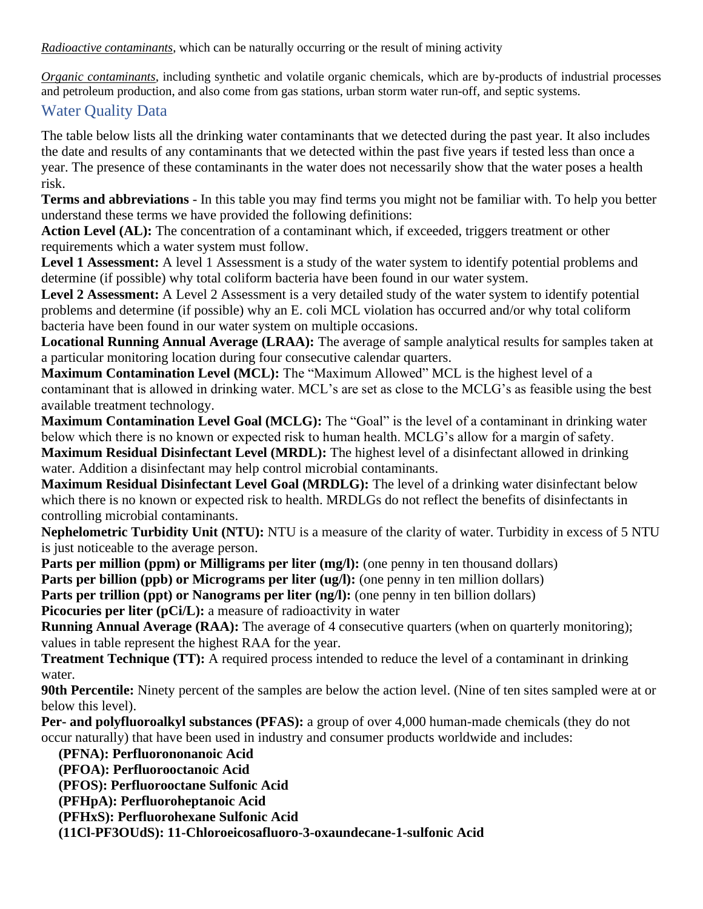*Radioactive contaminants*, which can be naturally occurring or the result of mining activity

*Organic contaminants*, including synthetic and volatile organic chemicals, which are by-products of industrial processes and petroleum production, and also come from gas stations, urban storm water run-off, and septic systems.

#### Water Quality Data

The table below lists all the drinking water contaminants that we detected during the past year. It also includes the date and results of any contaminants that we detected within the past five years if tested less than once a year. The presence of these contaminants in the water does not necessarily show that the water poses a health risk.

**Terms and abbreviations** - In this table you may find terms you might not be familiar with. To help you better understand these terms we have provided the following definitions:

**Action Level (AL):** The concentration of a contaminant which, if exceeded, triggers treatment or other requirements which a water system must follow.

**Level 1 Assessment:** A level 1 Assessment is a study of the water system to identify potential problems and determine (if possible) why total coliform bacteria have been found in our water system.

**Level 2 Assessment:** A Level 2 Assessment is a very detailed study of the water system to identify potential problems and determine (if possible) why an E. coli MCL violation has occurred and/or why total coliform bacteria have been found in our water system on multiple occasions.

**Locational Running Annual Average (LRAA):** The average of sample analytical results for samples taken at a particular monitoring location during four consecutive calendar quarters.

**Maximum Contamination Level (MCL):** The "Maximum Allowed" MCL is the highest level of a contaminant that is allowed in drinking water. MCL's are set as close to the MCLG's as feasible using the best available treatment technology.

**Maximum Contamination Level Goal (MCLG):** The "Goal" is the level of a contaminant in drinking water below which there is no known or expected risk to human health. MCLG's allow for a margin of safety. **Maximum Residual Disinfectant Level (MRDL):** The highest level of a disinfectant allowed in drinking water. Addition a disinfectant may help control microbial contaminants.

**Maximum Residual Disinfectant Level Goal (MRDLG):** The level of a drinking water disinfectant below which there is no known or expected risk to health. MRDLGs do not reflect the benefits of disinfectants in controlling microbial contaminants.

**Nephelometric Turbidity Unit (NTU):** NTU is a measure of the clarity of water. Turbidity in excess of 5 NTU is just noticeable to the average person.

Parts per million (ppm) or Milligrams per liter (mg/l): (one penny in ten thousand dollars)

**Parts per billion (ppb) or Micrograms per liter (ug/l):** (one penny in ten million dollars)

**Parts per trillion (ppt) or Nanograms per liter (ng/l):** (one penny in ten billion dollars)

**Picocuries per liter (pCi/L):** a measure of radioactivity in water

**Running Annual Average (RAA):** The average of 4 consecutive quarters (when on quarterly monitoring); values in table represent the highest RAA for the year.

**Treatment Technique (TT):** A required process intended to reduce the level of a contaminant in drinking water.

**90th Percentile:** Ninety percent of the samples are below the action level. (Nine of ten sites sampled were at or below this level).

**Per- and polyfluoroalkyl substances (PFAS):** a group of over 4,000 human-made chemicals (they do not occur naturally) that have been used in industry and consumer products worldwide and includes:

**(PFNA): Perfluorononanoic Acid**

**(PFOA): Perfluorooctanoic Acid**

**(PFOS): Perfluorooctane Sulfonic Acid**

**(PFHpA): Perfluoroheptanoic Acid**

**(PFHxS): Perfluorohexane Sulfonic Acid**

**(11Cl-PF3OUdS): 11-Chloroeicosafluoro-3-oxaundecane-1-sulfonic Acid**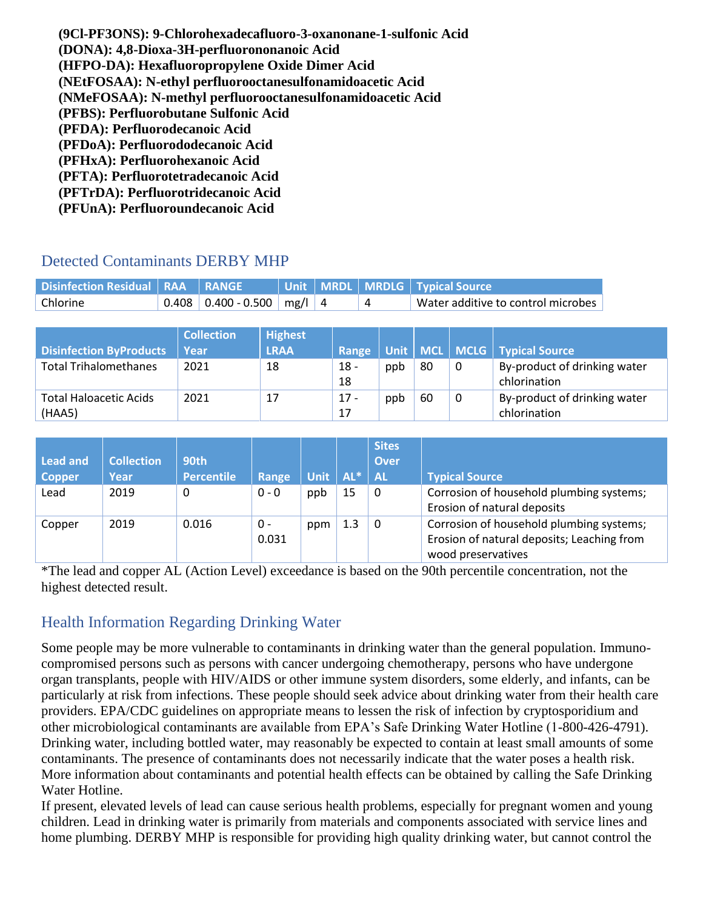**(9Cl-PF3ONS): 9-Chlorohexadecafluoro-3-oxanonane-1-sulfonic Acid (DONA): 4,8-Dioxa-3H-perfluorononanoic Acid (HFPO-DA): Hexafluoropropylene Oxide Dimer Acid (NEtFOSAA): N-ethyl perfluorooctanesulfonamidoacetic Acid (NMeFOSAA): N-methyl perfluorooctanesulfonamidoacetic Acid (PFBS): Perfluorobutane Sulfonic Acid (PFDA): Perfluorodecanoic Acid (PFDoA): Perfluorododecanoic Acid (PFHxA): Perfluorohexanoic Acid (PFTA): Perfluorotetradecanoic Acid (PFTrDA): Perfluorotridecanoic Acid (PFUnA): Perfluoroundecanoic Acid**

### Detected Contaminants DERBY MHP

| Disinfection Residual   RAA   RANGE |                              |  | Unit   MRDL   MRDLG   Typical Source |
|-------------------------------------|------------------------------|--|--------------------------------------|
| Chlorine                            | $0.408$ 0.400 - 0.500 mg/l 4 |  | Water additive to control microbes   |

| <b>Disinfection ByProducts</b>          | <b>Collection</b><br>Year | <b>Highest</b><br><b>LRAA</b> | Range        |     |    |   | Unit   MCL   MCLG   Typical Source           |
|-----------------------------------------|---------------------------|-------------------------------|--------------|-----|----|---|----------------------------------------------|
| <b>Total Trihalomethanes</b>            | 2021                      | 18                            | $18 -$<br>18 | ppb | 80 | 0 | By-product of drinking water<br>chlorination |
| <b>Total Haloacetic Acids</b><br>(HAA5) | 2021                      | 17                            | 17 -<br>17   | ppb | 60 | 0 | By-product of drinking water<br>chlorination |

|                 |                   |                   |         |             |             | <b>Sites</b> |                                            |
|-----------------|-------------------|-------------------|---------|-------------|-------------|--------------|--------------------------------------------|
| <b>Lead and</b> | <b>Collection</b> | <b>90th</b>       |         |             |             | Over         |                                            |
| <b>Copper</b>   | Year              | <b>Percentile</b> | Range   | <b>Unit</b> | $AL^*$ $AL$ |              | <b>Typical Source</b>                      |
| Lead            | 2019              | 0                 | $0 - 0$ | ppb         | 15          | 0            | Corrosion of household plumbing systems;   |
|                 |                   |                   |         |             |             |              | Erosion of natural deposits                |
| Copper          | 2019              | 0.016             | 0 -     | ppm         | 1.3         | 0            | Corrosion of household plumbing systems;   |
|                 |                   |                   | 0.031   |             |             |              | Erosion of natural deposits; Leaching from |
|                 |                   |                   |         |             |             |              | wood preservatives                         |

\*The lead and copper AL (Action Level) exceedance is based on the 90th percentile concentration, not the highest detected result.

## Health Information Regarding Drinking Water

Some people may be more vulnerable to contaminants in drinking water than the general population. Immunocompromised persons such as persons with cancer undergoing chemotherapy, persons who have undergone organ transplants, people with HIV/AIDS or other immune system disorders, some elderly, and infants, can be particularly at risk from infections. These people should seek advice about drinking water from their health care providers. EPA/CDC guidelines on appropriate means to lessen the risk of infection by cryptosporidium and other microbiological contaminants are available from EPA's Safe Drinking Water Hotline (1-800-426-4791). Drinking water, including bottled water, may reasonably be expected to contain at least small amounts of some contaminants. The presence of contaminants does not necessarily indicate that the water poses a health risk. More information about contaminants and potential health effects can be obtained by calling the Safe Drinking Water Hotline.

If present, elevated levels of lead can cause serious health problems, especially for pregnant women and young children. Lead in drinking water is primarily from materials and components associated with service lines and home plumbing. DERBY MHP is responsible for providing high quality drinking water, but cannot control the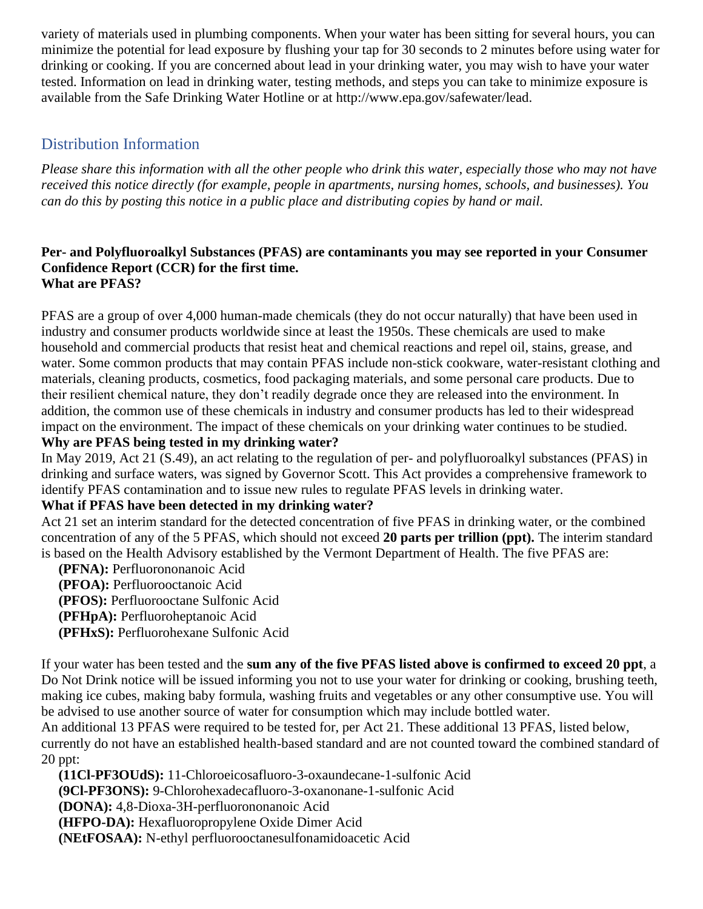variety of materials used in plumbing components. When your water has been sitting for several hours, you can minimize the potential for lead exposure by flushing your tap for 30 seconds to 2 minutes before using water for drinking or cooking. If you are concerned about lead in your drinking water, you may wish to have your water tested. Information on lead in drinking water, testing methods, and steps you can take to minimize exposure is available from the Safe Drinking Water Hotline or at [http://www.epa.gov/safewater/lead.](http://www.epa.gov/safewater/lead)

### Distribution Information

*Please share this information with all the other people who drink this water, especially those who may not have received this notice directly (for example, people in apartments, nursing homes, schools, and businesses). You can do this by posting this notice in a public place and distributing copies by hand or mail.*

#### **Per- and Polyfluoroalkyl Substances (PFAS) are contaminants you may see reported in your Consumer Confidence Report (CCR) for the first time. What are PFAS?**

PFAS are a group of over 4,000 human-made chemicals (they do not occur naturally) that have been used in industry and consumer products worldwide since at least the 1950s. These chemicals are used to make household and commercial products that resist heat and chemical reactions and repel oil, stains, grease, and water. Some common products that may contain PFAS include non-stick cookware, water-resistant clothing and materials, cleaning products, cosmetics, food packaging materials, and some personal care products. Due to their resilient chemical nature, they don't readily degrade once they are released into the environment. In addition, the common use of these chemicals in industry and consumer products has led to their widespread impact on the environment. The impact of these chemicals on your drinking water continues to be studied. **Why are PFAS being tested in my drinking water?**

In May 2019, Act 21 (S.49), an act relating to the regulation of per- and polyfluoroalkyl substances (PFAS) in drinking and surface waters, was signed by Governor Scott. This Act provides a comprehensive framework to identify PFAS contamination and to issue new rules to regulate PFAS levels in drinking water.

#### **What if PFAS have been detected in my drinking water?**

Act 21 set an interim standard for the detected concentration of five PFAS in drinking water, or the combined concentration of any of the 5 PFAS, which should not exceed **20 parts per trillion (ppt).** The interim standard is based on the Health Advisory established by the Vermont Department of Health. The five PFAS are:

 **(PFNA):** Perfluorononanoic Acid **(PFOA):** Perfluorooctanoic Acid **(PFOS):** Perfluorooctane Sulfonic Acid **(PFHpA):** Perfluoroheptanoic Acid **(PFHxS):** Perfluorohexane Sulfonic Acid

If your water has been tested and the **sum any of the five PFAS listed above is confirmed to exceed 20 ppt**, a Do Not Drink notice will be issued informing you not to use your water for drinking or cooking, brushing teeth, making ice cubes, making baby formula, washing fruits and vegetables or any other consumptive use. You will be advised to use another source of water for consumption which may include bottled water.

An additional 13 PFAS were required to be tested for, per Act 21. These additional 13 PFAS, listed below, currently do not have an established health-based standard and are not counted toward the combined standard of 20 ppt:

 **(11Cl-PF3OUdS):** 11-Chloroeicosafluoro-3-oxaundecane-1-sulfonic Acid **(9Cl-PF3ONS):** 9-Chlorohexadecafluoro-3-oxanonane-1-sulfonic Acid **(DONA):** 4,8-Dioxa-3H-perfluorononanoic Acid **(HFPO-DA):** Hexafluoropropylene Oxide Dimer Acid **(NEtFOSAA):** N-ethyl perfluorooctanesulfonamidoacetic Acid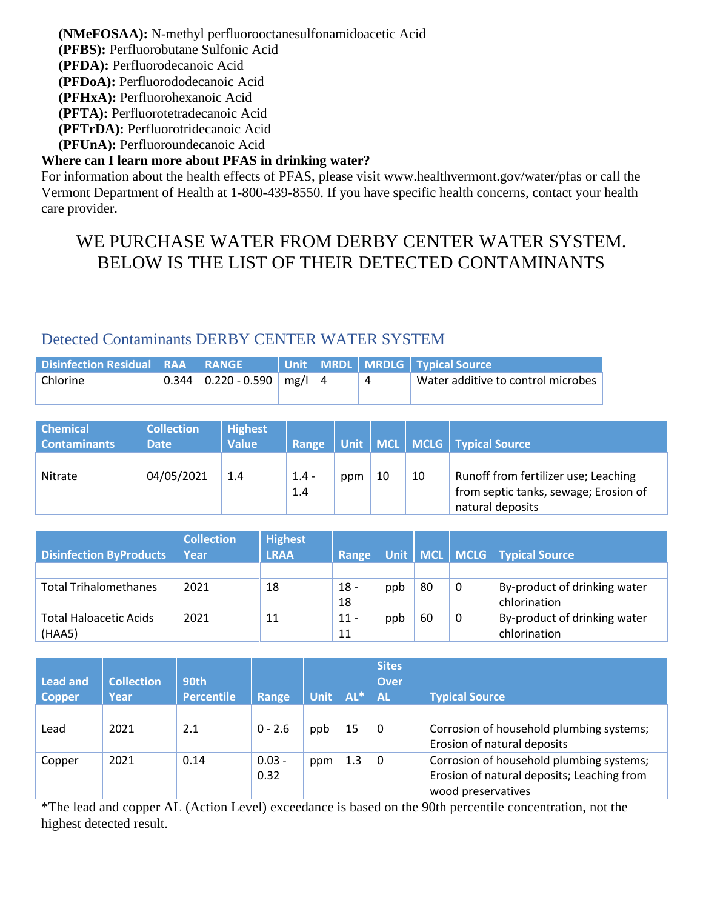**(NMeFOSAA):** N-methyl perfluorooctanesulfonamidoacetic Acid **(PFBS):** Perfluorobutane Sulfonic Acid **(PFDA):** Perfluorodecanoic Acid **(PFDoA):** Perfluorododecanoic Acid **(PFHxA):** Perfluorohexanoic Acid **(PFTA):** Perfluorotetradecanoic Acid **(PFTrDA):** Perfluorotridecanoic Acid

**(PFUnA):** Perfluoroundecanoic Acid

#### **Where can I learn more about PFAS in drinking water?**

For information about the health effects of PFAS, please visit [www.healthvermont.gov/water/pfas](../../../Downloads/www.healthvermont.gov/water/pfas) or call the Vermont Department of Health at 1-800-439-8550. If you have specific health concerns, contact your health care provider.

# WE PURCHASE WATER FROM DERBY CENTER WATER SYSTEM. BELOW IS THE LIST OF THEIR DETECTED CONTAMINANTS

#### Detected Contaminants DERBY CENTER WATER SYSTEM

| Disinfection Residual   RAA   RANGE |                                    |  | Unit   MRDL   MRDLG   Typical Source |
|-------------------------------------|------------------------------------|--|--------------------------------------|
| Chlorine                            | $0.344$   0.220 - 0.590   mg/l   4 |  | Water additive to control microbes   |
|                                     |                                    |  |                                      |

| <b>Chemical</b>     | <b>Collection</b> | <b>Highest</b> |         |     |    |    |                                       |
|---------------------|-------------------|----------------|---------|-----|----|----|---------------------------------------|
| <b>Contaminants</b> | <b>Date</b>       | <b>Value</b>   | Range   |     |    |    | Unit   MCL   MCLG   Typical Source    |
|                     |                   |                |         |     |    |    |                                       |
| Nitrate             | 04/05/2021        | 1.4            | $1.4 -$ | ppm | 10 | 10 | Runoff from fertilizer use; Leaching  |
|                     |                   |                | 1.4     |     |    |    | from septic tanks, sewage; Erosion of |
|                     |                   |                |         |     |    |    | natural deposits                      |

| <b>Disinfection ByProducts</b>          | <b>Collection</b><br>Year | <b>Highest</b><br><b>LRAA</b> | Range        |     |    |   | Unit   MCL   MCLG   Typical Source           |
|-----------------------------------------|---------------------------|-------------------------------|--------------|-----|----|---|----------------------------------------------|
|                                         |                           |                               |              |     |    |   |                                              |
| <b>Total Trihalomethanes</b>            | 2021                      | 18                            | $18 -$<br>18 | ppb | 80 | 0 | By-product of drinking water<br>chlorination |
| <b>Total Haloacetic Acids</b><br>(HAA5) | 2021                      | 11                            | $11 -$<br>11 | ppb | 60 | 0 | By-product of drinking water<br>chlorination |

| Lead and<br><b>Copper</b> | <b>Collection</b><br>Year | 90th<br><b>Percentile</b> | Range            | <b>Unit</b> | $AL^*$ | <b>Sites</b><br><b>Over</b><br><b>AL</b> | <b>Typical Source</b>                                                                                        |
|---------------------------|---------------------------|---------------------------|------------------|-------------|--------|------------------------------------------|--------------------------------------------------------------------------------------------------------------|
| Lead                      | 2021                      | 2.1                       | $0 - 2.6$        | ppb         | 15     | 0                                        | Corrosion of household plumbing systems;<br>Erosion of natural deposits                                      |
| Copper                    | 2021                      | 0.14                      | $0.03 -$<br>0.32 | ppm         | 1.3    | 0                                        | Corrosion of household plumbing systems;<br>Erosion of natural deposits; Leaching from<br>wood preservatives |

\*The lead and copper AL (Action Level) exceedance is based on the 90th percentile concentration, not the highest detected result.